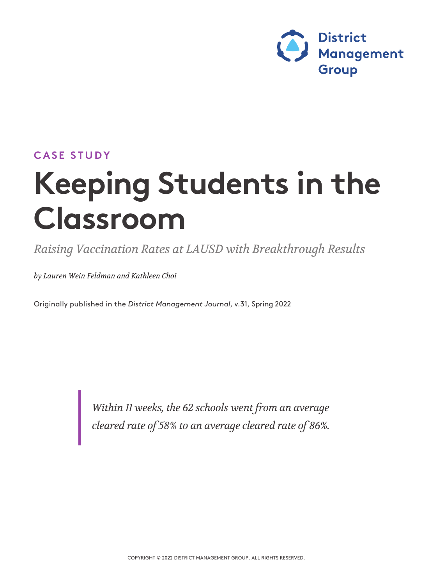

### **CASE STUDY**

# **Keeping Students in the Classroom**

*Raising Vaccination Rates at LAUSD with Breakthrough Results* 

*by Lauren Wein Feldman and Kathleen Choi* 

Originally published in the *District Management Journal*, v.31, Spring <sup>2022</sup>

*Within 11 weeks, the 62 schools went from an average cleared rate of 58% to an average cleared rate of 86%.*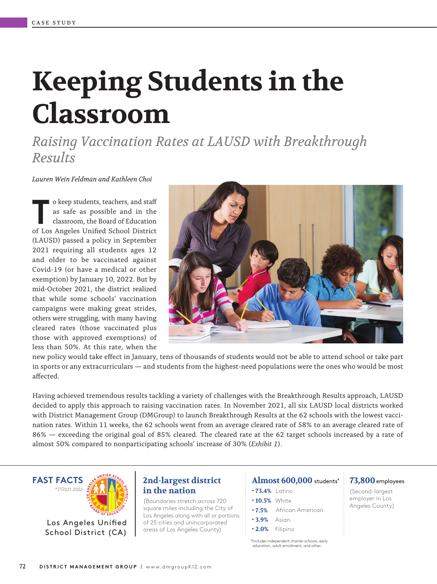# **Keeping Students in the Classroom**

*Raising Vaccination Rates at LAUSD with Breakthrough Results* 

*Lauren Wein Feldman and Kathleen Choi* 

o keep students, teachers, and sta as safe as possible and in the classroom, the Board of Education o keep students, teachers, and staff<br>as safe as possible and in the<br>classroom, the Board of Education<br>of Los Angeles Unified School District (LAUSD) passed a policy in September 2021 requiring all students ages 12 and older to be vaccinated against Covid-19 (or have a medical or other exemption) by January 10, 2022. But by mid-October 2021, the district realized that while some schools' vaccination campaigns were making great strides, others were struggling, with many having cleared rates (those vaccinated plus those with approved exemptions) of less than 50%. At this rate, when the



new policy would take effect in January, tens of thousands of students would not be able to attend school or take part in sports or any extracurriculars — and students from the highest-need populations were the ones who would be most affected.

Having achieved tremendous results tackling a variety of challenges with the Breakthrough Results approach, LAUSD decided to apply this approach to raising vaccination rates. In November 2021, all six LAUSD local districts worked with District Management Group (DMGroup) to launch Breakthrough Results at the 62 schools with the lowest vaccination rates. Within 11 weeks, the 62 schools went from an average cleared rate of 58% to an average cleared rate of 86% — exceeding the original goal of 85% cleared. The cleared rate at the 62 target schools increased by a rate of almost 50% compared to nonparticipating schools' increase of 30% (*Exhibit 1*).



### **2nd-largest district in the nation**

(Boundaries stretch across 720 square miles including the City of Los Angeles along with all or portions of 25 cities and unincorporated areas of Los Angeles County)

### **Almost 600,000** students\* **73,800**employees

- **• 73.4%** Latino
- **• 10.5%** White
- **7.5%** African American
- **• 3.9%** Asian
- **• 2.0%** Filipino

\*Includes independent charter schools, early education, adult enrollment, and other.

(Second-largest employer in Los Angeles County)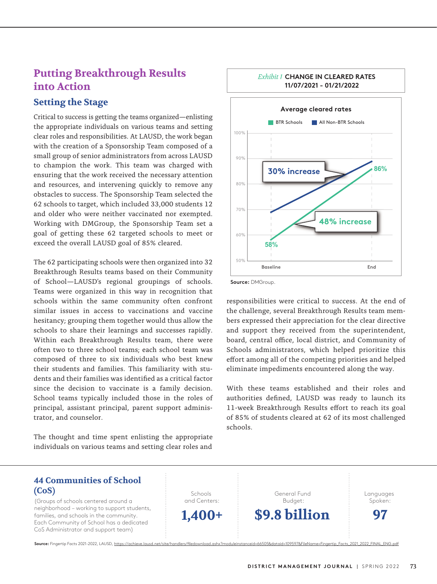### **Putting Breakthrough Results into Action**

### **Setting the Stage**

Critical to success is getting the teams organized—enlisting the appropriate individuals on various teams and setting clear roles and responsibilities. At LAUSD, the work began with the creation of a Sponsorship Team composed of a small group of senior administrators from across LAUSD to champion the work. This team was charged with ensuring that the work received the necessary attention and resources, and intervening quickly to remove any obstacles to success. The Sponsorship Team selected the 62 schools to target, which included 33,000 students 12 and older who were neither vaccinated nor exempted. Working with DMGroup, the Sponsorship Team set a goal of getting these 62 targeted schools to meet or exceed the overall LAUSD goal of 85% cleared.

The 62 participating schools were then organized into 32 Breakthrough Results teams based on their Community of School—LAUSD's regional groupings of schools. Teams were organized in this way in recognition that schools within the same community often confront similar issues in access to vaccinations and vaccine hesitancy; grouping them together would thus allow the schools to share their learnings and successes rapidly. Within each Breakthrough Results team, there were often two to three school teams; each school team was composed of three to six individuals who best knew their students and families. This familiarity with students and their families was identified as a critical factor since the decision to vaccinate is a family decision. School teams typically included those in the roles of principal, assistant principal, parent support administrator, and counselor.

The thought and time spent enlisting the appropriate individuals on various teams and setting clear roles and



**Source:** DMGroup.

responsibilities were critical to success. At the end of the challenge, several Breakthrough Results team members expressed their appreciation for the clear directive and support they received from the superintendent, board, central office, local district, and Community of Schools administrators, which helped prioritize this effort among all of the competing priorities and helped eliminate impediments encountered along the way.

With these teams established and their roles and authorities defined, LAUSD was ready to launch its 11-week Breakthrough Results effort to reach its goal of 85% of students cleared at 62 of its most challenged schools.

> General Fund Budget: **\$9.8 billion**

### **44 Communities of School (CoS)**

(Groups of schools centered around a neighborhood – working to support students, families, and schools in the community. Each Community of School has a dedicated CoS Administrator and support team)

Schools and Centers: **1,400+** Languages Spoken:

**97**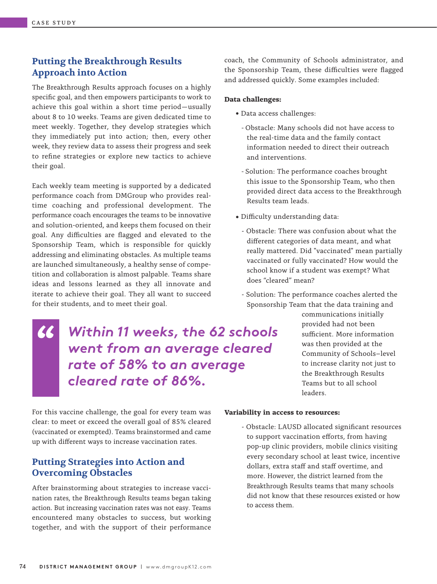### **Putting the Breakthrough Results Approach into Action**

The Breakthrough Results approach focuses on a highly specific goal, and then empowers participants to work to achieve this goal within a short time period–usually about 8 to 10 weeks. Teams are given dedicated time to meet weekly. Together, they develop strategies which they immediately put into action; then, every other week, they review data to assess their progress and seek to refine strategies or explore new tactics to achieve their goal.

Each weekly team meeting is supported by a dedicated performance coach from DMGroup who provides realtime coaching and professional development. The performance coach encourages the teams to be innovative and solution-oriented, and keeps them focused on their goal. Any difficulties are flagged and elevated to the Sponsorship Team, which is responsible for quickly addressing and eliminating obstacles. As multiple teams are launched simultaneously, a healthy sense of competition and collaboration is almost palpable. Teams share ideas and lessons learned as they all innovate and iterate to achieve their goal. They all want to succeed for their students, and to meet their goal.

**"** *Within 11 weeks, the 62 schools went from an average cleared rate of 58% to an average cleared rate of 86%.*

coach, the Community of Schools administrator, and the Sponsorship Team, these difficulties were flagged and addressed quickly. Some examples included:

### **Data challenges:**

- Data access challenges:
	- Obstacle: Many schools did not have access to the real-time data and the family contact information needed to direct their outreach and interventions.
	- Solution: The performance coaches brought this issue to the Sponsorship Team, who then provided direct data access to the Breakthrough Results team leads.
- Difficulty understanding data:
	- Obstacle: There was confusion about what the different categories of data meant, and what really mattered. Did "vaccinated" mean partially vaccinated or fully vaccinated? How would the school know if a student was exempt? What does "cleared" mean?
	- Solution: The performance coaches alerted the Sponsorship Team that the data training and

communications initially provided had not been sufficient. More information was then provided at the Community of Schools–level to increase clarity not just to the Breakthrough Results Teams but to all school leaders.

For this vaccine challenge, the goal for every team was clear: to meet or exceed the overall goal of 85% cleared (vaccinated or exempted). Teams brainstormed and came up with different ways to increase vaccination rates.

### **Putting Strategies into Action and Overcoming Obstacles**

After brainstorming about strategies to increase vaccination rates, the Breakthrough Results teams began taking action. But increasing vaccination rates was not easy. Teams encountered many obstacles to success, but working together, and with the support of their performance

### **Variability in access to resources:**

- Obstacle: LAUSD allocated significant resources to support vaccination efforts, from having pop-up clinic providers, mobile clinics visiting every secondary school at least twice, incentive dollars, extra staff and staff overtime, and more. However, the district learned from the Breakthrough Results teams that many schools did not know that these resources existed or how to access them.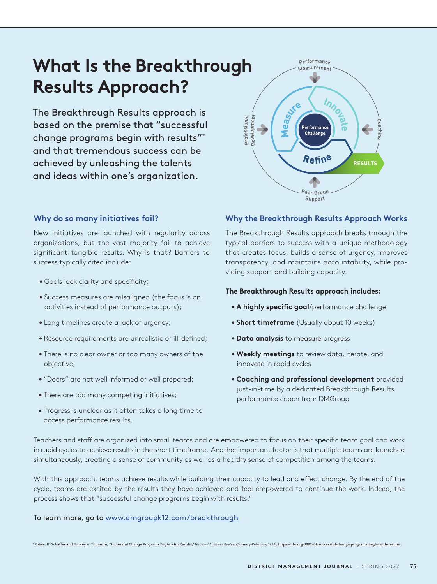## **What Is the Breakthrough Results Approach?**

The Breakthrough Results approach is based on the premise that "successful change programs begin with results"\* and that tremendous success can be achieved by unleashing the talents and ideas within one's organization.



### **Why do so many initiatives fail?**

New initiatives are launched with regularity across organizations, but the vast majority fail to achieve significant tangible results. Why is that? Barriers to success typically cited include:

- Goals lack clarity and specificity;
- Success measures are misaligned (the focus is on activities instead of performance outputs);
- Long timelines create a lack of urgency;
- Resource requirements are unrealistic or ill-defined;
- There is no clear owner or too many owners of the objective;
- "Doers" are not well informed or well prepared;
- There are too many competing initiatives;
- Progress is unclear as it often takes a long time to access performance results.

### **Why the Breakthrough Results Approach Works**

The Breakthrough Results approach breaks through the typical barriers to success with a unique methodology that creates focus, builds a sense of urgency, improves transparency, and maintains accountability, while providing support and building capacity.

### **The Breakthrough Results approach includes:**

- A highly specific goal/performance challenge
- **Short timeframe** (Usually about 10 weeks)
- **Data analysis** to measure progress
- **Weekly meetings** to review data, iterate, and innovate in rapid cycles
- **Coaching and professional development** provided just-in-time by a dedicated Breakthrough Results performance coach from DMGroup

Teachers and staff are organized into small teams and are empowered to focus on their specific team goal and work in rapid cycles to achieve results in the short timeframe. Another important factor is that multiple teams are launched simultaneously, creating a sense of community as well as a healthy sense of competition among the teams.

With this approach, teams achieve results while building their capacity to lead and effect change. By the end of the cycle, teams are excited by the results they have achieved and feel empowered to continue the work. Indeed, the process shows that "successful change programs begin with results."

### To learn more, go to www.dmgroupk12.com/breakthrough

\* Robert H. Schaffer and Harvey A. Thomson, "Successful Change Programs Begin with Results," *Harvard Business Review* (January-February 1992), https://hbr.org/1992/01/successful-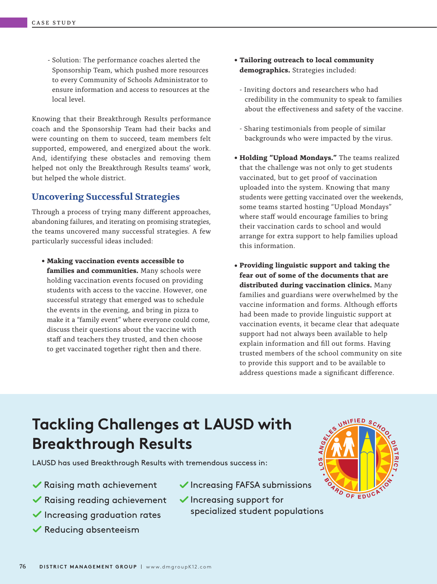- Solution: The performance coaches alerted the Sponsorship Team, which pushed more resources to every Community of Schools Administrator to ensure information and access to resources at the local level.

Knowing that their Breakthrough Results performance coach and the Sponsorship Team had their backs and were counting on them to succeed, team members felt supported, empowered, and energized about the work. And, identifying these obstacles and removing them helped not only the Breakthrough Results teams' work, but helped the whole district.

### **Uncovering Successful Strategies**

Through a process of trying many different approaches, abandoning failures, and iterating on promising strategies, the teams uncovered many successful strategies. A few particularly successful ideas included:

• **Making vaccination events accessible to families and communities.** Many schools were holding vaccination events focused on providing students with access to the vaccine. However, one successful strategy that emerged was to schedule the events in the evening, and bring in pizza to make it a "family event" where everyone could come, discuss their questions about the vaccine with staff and teachers they trusted, and then choose to get vaccinated together right then and there.

- **Tailoring outreach to local community demographics.** Strategies included:
	- Inviting doctors and researchers who had credibility in the community to speak to families about the effectiveness and safety of the vaccine.
	- Sharing testimonials from people of similar backgrounds who were impacted by the virus.
- **Holding "Upload Mondays."** The teams realized that the challenge was not only to get students vaccinated, but to get proof of vaccination uploaded into the system. Knowing that many students were getting vaccinated over the weekends, some teams started hosting "Upload Mondays" where staff would encourage families to bring their vaccination cards to school and would arrange for extra support to help families upload this information.
- **Providing linguistic support and taking the fear out of some of the documents that are distributed during vaccination clinics.** Many families and guardians were overwhelmed by the vaccine information and forms. Although efforts had been made to provide linguistic support at vaccination events, it became clear that adequate support had not always been available to help explain information and fill out forms. Having trusted members of the school community on site to provide this support and to be available to address questions made a significant difference.

## **Tackling Challenges at LAUSD with Breakthrough Results**

LAUSD has used Breakthrough Results with tremendous success in:

- Raising math achievement
- Raising reading achievement
- $\checkmark$  Increasing graduation rates
- $\blacktriangledown$  Reducing absenteeism
- $\blacktriangleright$  Increasing FAFSA submissions
- $\checkmark$  Increasing support for specialized student populations